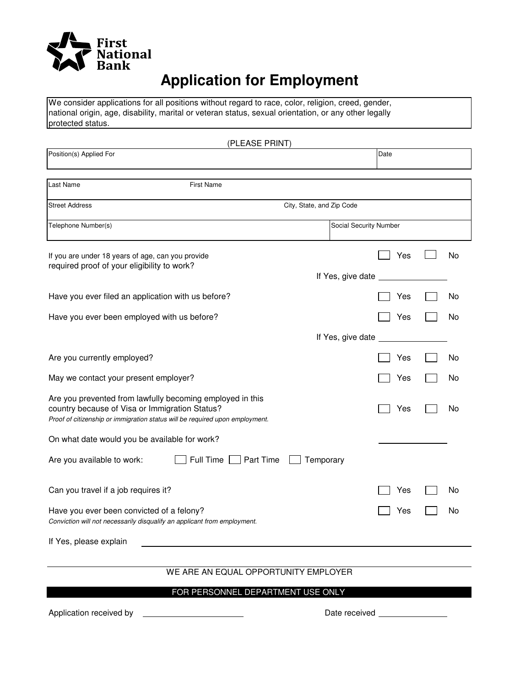

# **Application for Employment**

We consider applications for all positions without regard to race, color, religion, creed, gender, national origin, age, disability, marital or veteran status, sexual orientation, or any other legally protected status.

| (PLEASE PRINT)                                                                                                                                                                              |                             |      |    |
|---------------------------------------------------------------------------------------------------------------------------------------------------------------------------------------------|-----------------------------|------|----|
| Position(s) Applied For                                                                                                                                                                     |                             | Date |    |
| <b>First Name</b><br>Last Name                                                                                                                                                              |                             |      |    |
| <b>Street Address</b>                                                                                                                                                                       | City, State, and Zip Code   |      |    |
| Telephone Number(s)                                                                                                                                                                         | Social Security Number      |      |    |
| If you are under 18 years of age, can you provide<br>required proof of your eligibility to work?                                                                                            |                             | Yes  | No |
|                                                                                                                                                                                             | If Yes, give date           |      |    |
| Have you ever filed an application with us before?                                                                                                                                          |                             | Yes  | No |
| Have you ever been employed with us before?                                                                                                                                                 |                             | Yes  | No |
|                                                                                                                                                                                             | If Yes, give date           |      |    |
| Are you currently employed?                                                                                                                                                                 |                             | Yes  | No |
| May we contact your present employer?                                                                                                                                                       |                             | Yes  | No |
| Are you prevented from lawfully becoming employed in this<br>country because of Visa or Immigration Status?<br>Proof of citizenship or immigration status will be required upon employment. |                             | Yes  | No |
| On what date would you be available for work?                                                                                                                                               |                             |      |    |
| Full Time<br>Are you available to work:<br>Part Time                                                                                                                                        | Temporary                   |      |    |
| Can you travel if a job requires it?                                                                                                                                                        |                             | Yes  | No |
| Have you ever been convicted of a felony?<br>Conviction will not necessarily disqualify an applicant from employment.                                                                       |                             | Yes  | No |
| If Yes, please explain                                                                                                                                                                      |                             |      |    |
| $MFT$ ADE AN EQUAL                                                                                                                                                                          | <b>ODDODTUMITY FMDLOVED</b> |      |    |

#### WE ARE AN EQUAL OPPORTUNITY EMPLOYER

### FOR PERSONNEL DEPARTMENT USE ONLY

Application received by  $\qquad \qquad$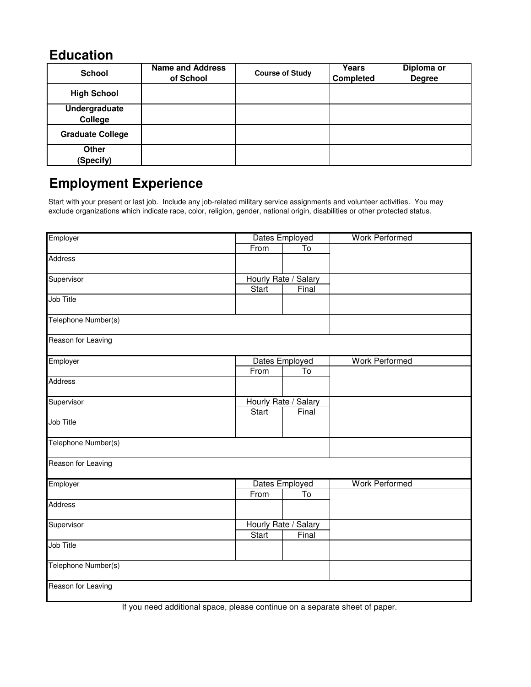## **Education**

| <b>School</b>             | <b>Name and Address</b><br>of School | <b>Course of Study</b> | Years<br><b>Completed</b> | Diploma or<br><b>Degree</b> |
|---------------------------|--------------------------------------|------------------------|---------------------------|-----------------------------|
| <b>High School</b>        |                                      |                        |                           |                             |
| Undergraduate<br>College  |                                      |                        |                           |                             |
| <b>Graduate College</b>   |                                      |                        |                           |                             |
| <b>Other</b><br>(Specify) |                                      |                        |                           |                             |

# **Employment Experience**

Start with your present or last job. Include any job-related military service assignments and volunteer activities. You may exclude organizations which indicate race, color, religion, gender, national origin, disabilities or other protected status.

| Employer            | Dates Employed       |                         | <b>Work Performed</b> |  |
|---------------------|----------------------|-------------------------|-----------------------|--|
|                     | From                 | $\overline{\text{To}}$  |                       |  |
| Address             |                      |                         |                       |  |
| Supervisor          | Hourly Rate / Salary |                         |                       |  |
|                     | <b>Start</b>         | Final                   |                       |  |
| Job Title           |                      |                         |                       |  |
| Telephone Number(s) |                      |                         |                       |  |
| Reason for Leaving  |                      |                         |                       |  |
| Employer            |                      | Dates Employed          | <b>Work Performed</b> |  |
|                     | From                 | To                      |                       |  |
| <b>Address</b>      |                      |                         |                       |  |
| Supervisor          | Hourly Rate / Salary |                         |                       |  |
|                     | Start                | Final                   |                       |  |
| Job Title           |                      |                         |                       |  |
| Telephone Number(s) |                      |                         |                       |  |
| Reason for Leaving  |                      |                         |                       |  |
| Employer            |                      | Dates Employed          | <b>Work Performed</b> |  |
|                     | From                 | $\overline{\mathsf{T}}$ |                       |  |
| <b>Address</b>      |                      |                         |                       |  |
| Supervisor          | Hourly Rate / Salary |                         |                       |  |
|                     | Start                | Final                   |                       |  |
| Job Title           |                      |                         |                       |  |
| Telephone Number(s) |                      |                         |                       |  |
| Reason for Leaving  |                      |                         |                       |  |

If you need additional space, please continue on a separate sheet of paper.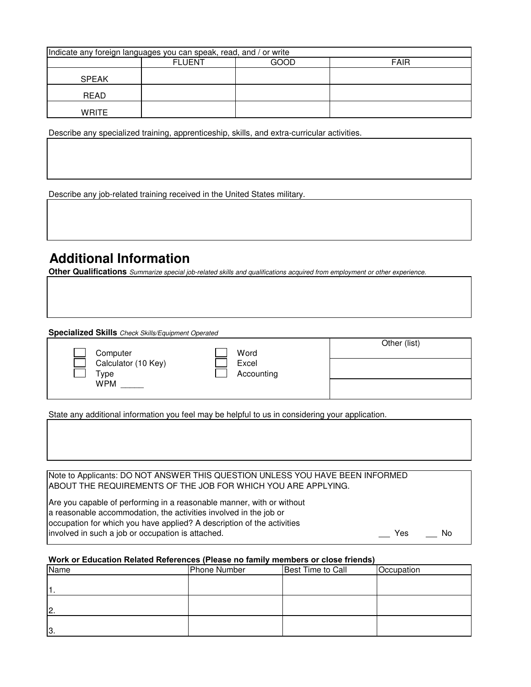| Indicate any foreign languages you can speak, read, and / or write |               |      |             |  |
|--------------------------------------------------------------------|---------------|------|-------------|--|
|                                                                    | <b>FLUENT</b> | GOOD | <b>FAIR</b> |  |
| <b>SPEAK</b>                                                       |               |      |             |  |
| READ                                                               |               |      |             |  |
| WRITE                                                              |               |      |             |  |

Describe any specialized training, apprenticeship, skills, and extra-curricular activities.

Describe any job-related training received in the United States military.

# **Additional Information**

**Other Qualifications** Summarize special job-related skills and qualifications acquired from employment or other experience.

**Specialized Skills** Check Skills/Equipment Operated

|                     |            | Other (list) |  |
|---------------------|------------|--------------|--|
| Computer            | Word       |              |  |
| Calculator (10 Key) | Excel      |              |  |
| Гуре                | Accounting |              |  |
| <b>WPM</b>          |            |              |  |
|                     |            |              |  |

State any additional information you feel may be helpful to us in considering your application.

Note to Applicants: DO NOT ANSWER THIS QUESTION UNLESS YOU HAVE BEEN INFORMED ABOUT THE REQUIREMENTS OF THE JOB FOR WHICH YOU ARE APPLYING.

Are you capable of performing in a reasonable manner, with or without a reasonable accommodation, the activities involved in the job or occupation for which you have applied? A description of the activities involved in such a job or occupation is attached. The Most Control of the Most Control of the Most Control of Mo

#### **Work or Education Related References (Please no family members or close friends)**

| Name | <b>Phone Number</b> | <b>Best Time to Call</b> | Occupation |
|------|---------------------|--------------------------|------------|
|      |                     |                          |            |
|      |                     |                          |            |
| 0    |                     |                          |            |
| 13.  |                     |                          |            |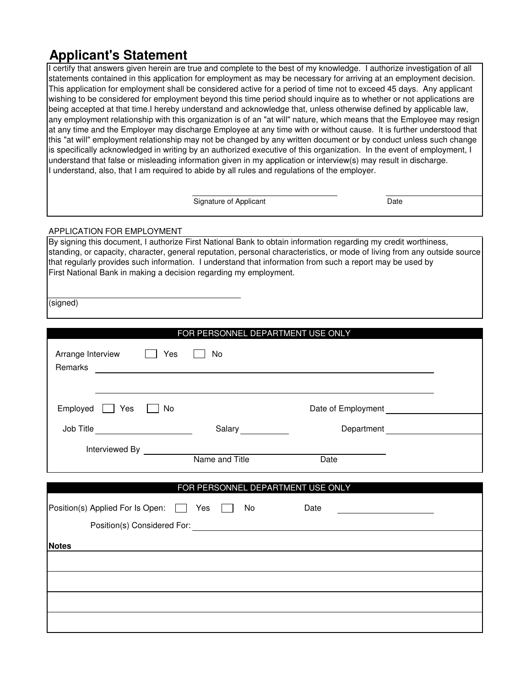# **Applicant's Statement**

I certify that answers given herein are true and complete to the best of my knowledge. I authorize investigation of all statements contained in this application for employment as may be necessary for arriving at an employment decision. This application for employment shall be considered active for a period of time not to exceed 45 days. Any applicant wishing to be considered for employment beyond this time period should inquire as to whether or not applications are being accepted at that time.I hereby understand and acknowledge that, unless otherwise defined by applicable law, any employment relationship with this organization is of an "at will" nature, which means that the Employee may resign at any time and the Employer may discharge Employee at any time with or without cause. It is further understood that this "at will" employment relationship may not be changed by any written document or by conduct unless such change is specifically acknowledged in writing by an authorized executive of this organization. In the event of employment, I understand that false or misleading information given in my application or interview(s) may result in discharge. I understand, also, that I am required to abide by all rules and regulations of the employer.

Signature of Applicant Date Date

#### APPLICATION FOR EMPLOYMENT

By signing this document, I authorize First National Bank to obtain information regarding my credit worthiness, standing, or capacity, character, general reputation, personal characteristics, or mode of living from any outside source that regularly provides such information. I understand that information from such a report may be used by First National Bank in making a decision regarding my employment.

(signed)

|              |                                   |     |                                                                                                                  | FOR PERSONNEL DEPARTMENT USE ONLY                                                                                                                                         |  |
|--------------|-----------------------------------|-----|------------------------------------------------------------------------------------------------------------------|---------------------------------------------------------------------------------------------------------------------------------------------------------------------------|--|
|              | Arrange Interview                 | Yes | No                                                                                                               |                                                                                                                                                                           |  |
| Employed     | $\Box$ Yes                        | No  |                                                                                                                  | Date of Employment                                                                                                                                                        |  |
|              | Job Title _______________________ |     | Salary ____________                                                                                              | Department<br><u>________________________</u>                                                                                                                             |  |
|              |                                   |     |                                                                                                                  | <b>Date</b>                                                                                                                                                               |  |
|              |                                   |     |                                                                                                                  |                                                                                                                                                                           |  |
|              |                                   |     |                                                                                                                  | FOR PERSONNEL DEPARTMENT USE ONLY                                                                                                                                         |  |
|              |                                   |     | Position(s) Applied For Is Open: Ves No                                                                          | Date<br><u> 1989 - Johann Barbara, martin a</u><br>Position(s) Considered For: <u>Contract Constantine Contract Constantine Constantine Constantine Constantine Const</u> |  |
| <b>Notes</b> |                                   |     | and the control of the control of the control of the control of the control of the control of the control of the |                                                                                                                                                                           |  |
|              |                                   |     |                                                                                                                  |                                                                                                                                                                           |  |
|              |                                   |     |                                                                                                                  |                                                                                                                                                                           |  |
|              |                                   |     |                                                                                                                  |                                                                                                                                                                           |  |
|              |                                   |     |                                                                                                                  |                                                                                                                                                                           |  |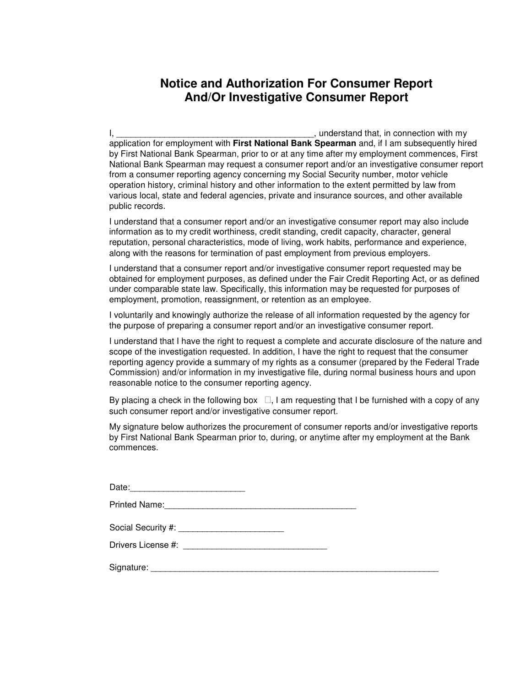### **Notice and Authorization For Consumer Report And/Or Investigative Consumer Report**

I, \_\_\_\_\_\_\_\_\_\_\_\_\_\_\_\_\_\_\_\_\_\_\_\_\_\_\_\_\_\_\_\_\_\_\_\_\_\_\_\_\_, understand that, in connection with my application for employment with **First National Bank Spearman** and, if I am subsequently hired by First National Bank Spearman, prior to or at any time after my employment commences, First National Bank Spearman may request a consumer report and/or an investigative consumer report from a consumer reporting agency concerning my Social Security number, motor vehicle operation history, criminal history and other information to the extent permitted by law from various local, state and federal agencies, private and insurance sources, and other available public records.

I understand that a consumer report and/or an investigative consumer report may also include information as to my credit worthiness, credit standing, credit capacity, character, general reputation, personal characteristics, mode of living, work habits, performance and experience, along with the reasons for termination of past employment from previous employers.

I understand that a consumer report and/or investigative consumer report requested may be obtained for employment purposes, as defined under the Fair Credit Reporting Act, or as defined under comparable state law. Specifically, this information may be requested for purposes of employment, promotion, reassignment, or retention as an employee.

I voluntarily and knowingly authorize the release of all information requested by the agency for the purpose of preparing a consumer report and/or an investigative consumer report.

I understand that I have the right to request a complete and accurate disclosure of the nature and scope of the investigation requested. In addition, I have the right to request that the consumer reporting agency provide a summary of my rights as a consumer (prepared by the Federal Trade Commission) and/or information in my investigative file, during normal business hours and upon reasonable notice to the consumer reporting agency.

By placing a check in the following box , I am requesting that I be furnished with a copy of any such consumer report and/or investigative consumer report.

My signature below authorizes the procurement of consumer reports and/or investigative reports by First National Bank Spearman prior to, during, or anytime after my employment at the Bank commences.

| Date: 2008 2010 2010 2021 2022 2023 2024 2022 2023 2024 2022 2023 2024 2022 2023 2024 2025 2026 2027 2028 2021 |  |
|----------------------------------------------------------------------------------------------------------------|--|
| Printed Name: 2008. 2009. 2010. 2010. 2010. 2010. 2010. 2010. 2010. 2010. 2010. 2010. 2010. 2010. 2010. 2010.  |  |
| Social Security #: ___________________________                                                                 |  |
|                                                                                                                |  |
|                                                                                                                |  |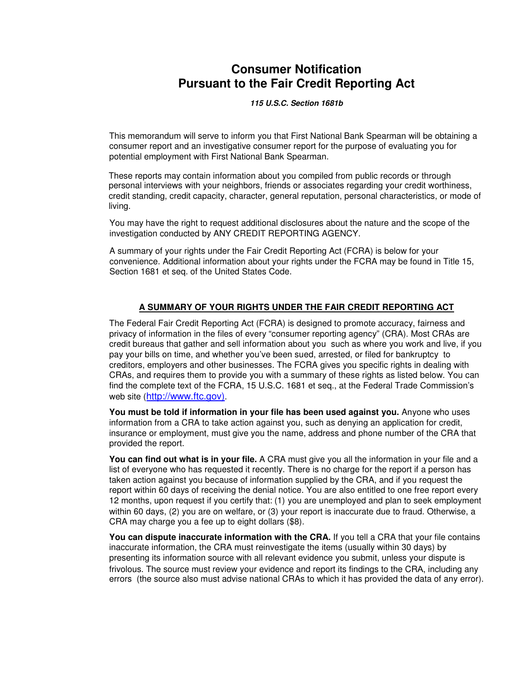### **Consumer Notification Pursuant to the Fair Credit Reporting Act**

**115 U.S.C. Section 1681b** 

This memorandum will serve to inform you that First National Bank Spearman will be obtaining a consumer report and an investigative consumer report for the purpose of evaluating you for potential employment with First National Bank Spearman.

These reports may contain information about you compiled from public records or through personal interviews with your neighbors, friends or associates regarding your credit worthiness, credit standing, credit capacity, character, general reputation, personal characteristics, or mode of living.

You may have the right to request additional disclosures about the nature and the scope of the investigation conducted by ANY CREDIT REPORTING AGENCY.

A summary of your rights under the Fair Credit Reporting Act (FCRA) is below for your convenience. Additional information about your rights under the FCRA may be found in Title 15, Section 1681 et seq. of the United States Code.

#### **A SUMMARY OF YOUR RIGHTS UNDER THE FAIR CREDIT REPORTING ACT**

The Federal Fair Credit Reporting Act (FCRA) is designed to promote accuracy, fairness and privacy of information in the files of every "consumer reporting agency" (CRA). Most CRAs are credit bureaus that gather and sell information about you such as where you work and live, if you pay your bills on time, and whether you've been sued, arrested, or filed for bankruptcy to creditors, employers and other businesses. The FCRA gives you specific rights in dealing with CRAs, and requires them to provide you with a summary of these rights as listed below. You can find the complete text of the FCRA, 15 U.S.C. 1681 et seq., at the Federal Trade Commission's web site (http://www.ftc.gov).

**You must be told if information in your file has been used against you.** Anyone who uses information from a CRA to take action against you, such as denying an application for credit, insurance or employment, must give you the name, address and phone number of the CRA that provided the report.

**You can find out what is in your file.** A CRA must give you all the information in your file and a list of everyone who has requested it recently. There is no charge for the report if a person has taken action against you because of information supplied by the CRA, and if you request the report within 60 days of receiving the denial notice. You are also entitled to one free report every 12 months, upon request if you certify that: (1) you are unemployed and plan to seek employment within 60 days, (2) you are on welfare, or (3) your report is inaccurate due to fraud. Otherwise, a CRA may charge you a fee up to eight dollars (\$8).

You can dispute inaccurate information with the CRA. If you tell a CRA that your file contains inaccurate information, the CRA must reinvestigate the items (usually within 30 days) by presenting its information source with all relevant evidence you submit, unless your dispute is frivolous. The source must review your evidence and report its findings to the CRA, including any errors (the source also must advise national CRAs to which it has provided the data of any error).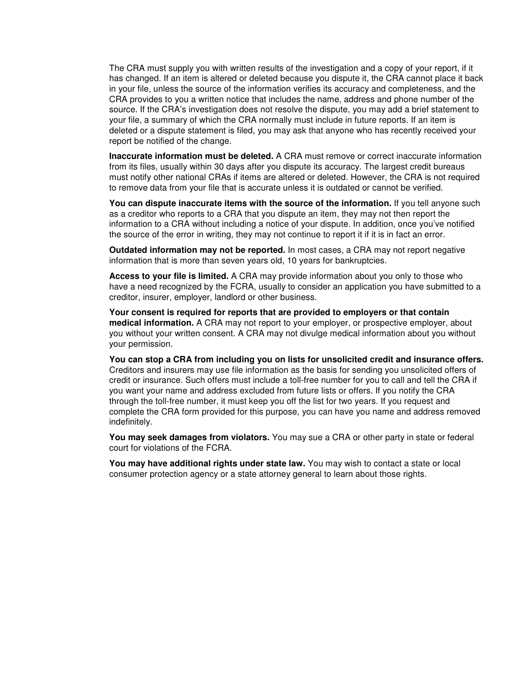The CRA must supply you with written results of the investigation and a copy of your report, if it has changed. If an item is altered or deleted because you dispute it, the CRA cannot place it back in your file, unless the source of the information verifies its accuracy and completeness, and the CRA provides to you a written notice that includes the name, address and phone number of the source. If the CRA's investigation does not resolve the dispute, you may add a brief statement to your file, a summary of which the CRA normally must include in future reports. If an item is deleted or a dispute statement is filed, you may ask that anyone who has recently received your report be notified of the change.

**Inaccurate information must be deleted.** A CRA must remove or correct inaccurate information from its files, usually within 30 days after you dispute its accuracy. The largest credit bureaus must notify other national CRAs if items are altered or deleted. However, the CRA is not required to remove data from your file that is accurate unless it is outdated or cannot be verified.

**You can dispute inaccurate items with the source of the information.** If you tell anyone such as a creditor who reports to a CRA that you dispute an item, they may not then report the information to a CRA without including a notice of your dispute. In addition, once you've notified the source of the error in writing, they may not continue to report it if it is in fact an error.

**Outdated information may not be reported.** In most cases, a CRA may not report negative information that is more than seven years old, 10 years for bankruptcies.

**Access to your file is limited.** A CRA may provide information about you only to those who have a need recognized by the FCRA, usually to consider an application you have submitted to a creditor, insurer, employer, landlord or other business.

**Your consent is required for reports that are provided to employers or that contain medical information.** A CRA may not report to your employer, or prospective employer, about you without your written consent. A CRA may not divulge medical information about you without your permission.

**You can stop a CRA from including you on lists for unsolicited credit and insurance offers.** Creditors and insurers may use file information as the basis for sending you unsolicited offers of credit or insurance. Such offers must include a toll-free number for you to call and tell the CRA if you want your name and address excluded from future lists or offers. If you notify the CRA through the toll-free number, it must keep you off the list for two years. If you request and complete the CRA form provided for this purpose, you can have you name and address removed indefinitely.

**You may seek damages from violators.** You may sue a CRA or other party in state or federal court for violations of the FCRA.

**You may have additional rights under state law.** You may wish to contact a state or local consumer protection agency or a state attorney general to learn about those rights.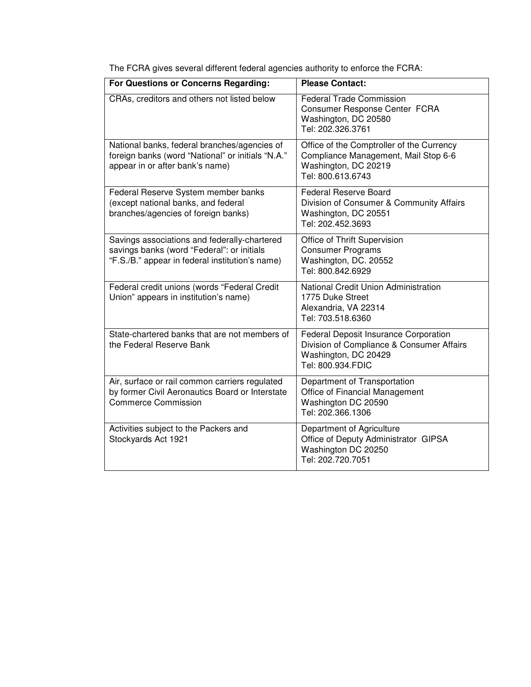| For Questions or Concerns Regarding:                                                                                                          | <b>Please Contact:</b>                                                                                                          |
|-----------------------------------------------------------------------------------------------------------------------------------------------|---------------------------------------------------------------------------------------------------------------------------------|
| CRAs, creditors and others not listed below                                                                                                   | <b>Federal Trade Commission</b><br>Consumer Response Center FCRA<br>Washington, DC 20580<br>Tel: 202.326.3761                   |
| National banks, federal branches/agencies of<br>foreign banks (word "National" or initials "N.A."<br>appear in or after bank's name)          | Office of the Comptroller of the Currency<br>Compliance Management, Mail Stop 6-6<br>Washington, DC 20219<br>Tel: 800.613.6743  |
| Federal Reserve System member banks<br>(except national banks, and federal<br>branches/agencies of foreign banks)                             | <b>Federal Reserve Board</b><br>Division of Consumer & Community Affairs<br>Washington, DC 20551<br>Tel: 202.452.3693           |
| Savings associations and federally-chartered<br>savings banks (word "Federal": or initials<br>"F.S./B." appear in federal institution's name) | Office of Thrift Supervision<br><b>Consumer Programs</b><br>Washington, DC. 20552<br>Tel: 800.842.6929                          |
| Federal credit unions (words "Federal Credit<br>Union" appears in institution's name)                                                         | National Credit Union Administration<br>1775 Duke Street<br>Alexandria, VA 22314<br>Tel: 703.518.6360                           |
| State-chartered banks that are not members of<br>the Federal Reserve Bank                                                                     | Federal Deposit Insurance Corporation<br>Division of Compliance & Consumer Affairs<br>Washington, DC 20429<br>Tel: 800.934.FDIC |
| Air, surface or rail common carriers regulated<br>by former Civil Aeronautics Board or Interstate<br><b>Commerce Commission</b>               | Department of Transportation<br>Office of Financial Management<br>Washington DC 20590<br>Tel: 202.366.1306                      |
| Activities subject to the Packers and<br>Stockyards Act 1921                                                                                  | Department of Agriculture<br>Office of Deputy Administrator GIPSA<br>Washington DC 20250<br>Tel: 202.720.7051                   |

The FCRA gives several different federal agencies authority to enforce the FCRA: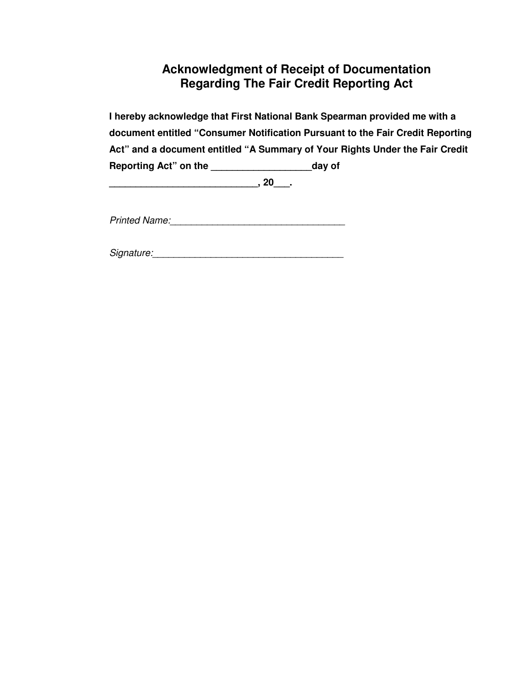### **Acknowledgment of Receipt of Documentation Regarding The Fair Credit Reporting Act**

**I hereby acknowledge that First National Bank Spearman provided me with a document entitled "Consumer Notification Pursuant to the Fair Credit Reporting Act" and a document entitled "A Summary of Your Rights Under the Fair Credit Reporting Act" on the \_\_\_\_\_\_\_\_\_\_\_\_\_\_\_\_\_\_\_day of** 

**\_\_\_\_\_\_\_\_\_\_\_\_\_\_\_\_\_\_\_\_\_\_\_\_\_\_\_\_, 20\_\_\_.** 

Printed Name:\_\_\_\_\_\_\_\_\_\_\_\_\_\_\_\_\_\_\_\_\_\_\_\_\_\_\_\_\_\_\_\_\_

Signature:\_\_\_\_\_\_\_\_\_\_\_\_\_\_\_\_\_\_\_\_\_\_\_\_\_\_\_\_\_\_\_\_\_\_\_\_